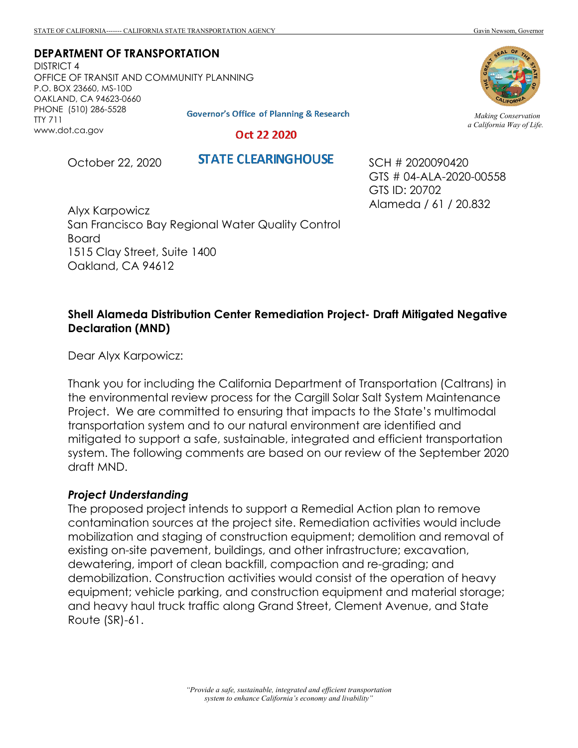**DEPARTMENT OF TRANSPORTATION**

DISTRICT 4 OFFICE OF TRANSIT AND COMMUNITY PLANNING P.O. BOX 23660, MS-10D OAKLAND, CA 94623-0660 PHONE (510) 286-5528 TTY 711 www.dot.ca.gov

**Governor's Office of Planning & Research** 

Oct 22 2020

October 22, 2020

**STATE CLEARINGHOUSE** 

SCH # 2020090420 GTS # 04-ALA-2020-00558 GTS ID: 20702 Alameda / 61 / 20.832

Alyx Karpowicz San Francisco Bay Regional Water Quality Control Board 1515 Clay Street, Suite 1400 Oakland, CA 94612

## **Shell Alameda Distribution Center Remediation Project- Draft Mitigated Negative Declaration (MND)**

Dear Alyx Karpowicz:

Thank you for including the California Department of Transportation (Caltrans) in the environmental review process for the Cargill Solar Salt System Maintenance Project. We are committed to ensuring that impacts to the State's multimodal transportation system and to our natural environment are identified and mitigated to support a safe, sustainable, integrated and efficient transportation system. The following comments are based on our review of the September 2020 draft MND.

## *Project Understanding*

The proposed project intends to support a Remedial Action plan to remove contamination sources at the project site. Remediation activities would include mobilization and staging of construction equipment; demolition and removal of existing on-site pavement, buildings, and other infrastructure; excavation, dewatering, import of clean backfill, compaction and re-grading; and demobilization. Construction activities would consist of the operation of heavy equipment; vehicle parking, and construction equipment and material storage; and heavy haul truck traffic along Grand Street, Clement Avenue, and State Route (SR)-61.



*Making Conservation a California Way of Life.*